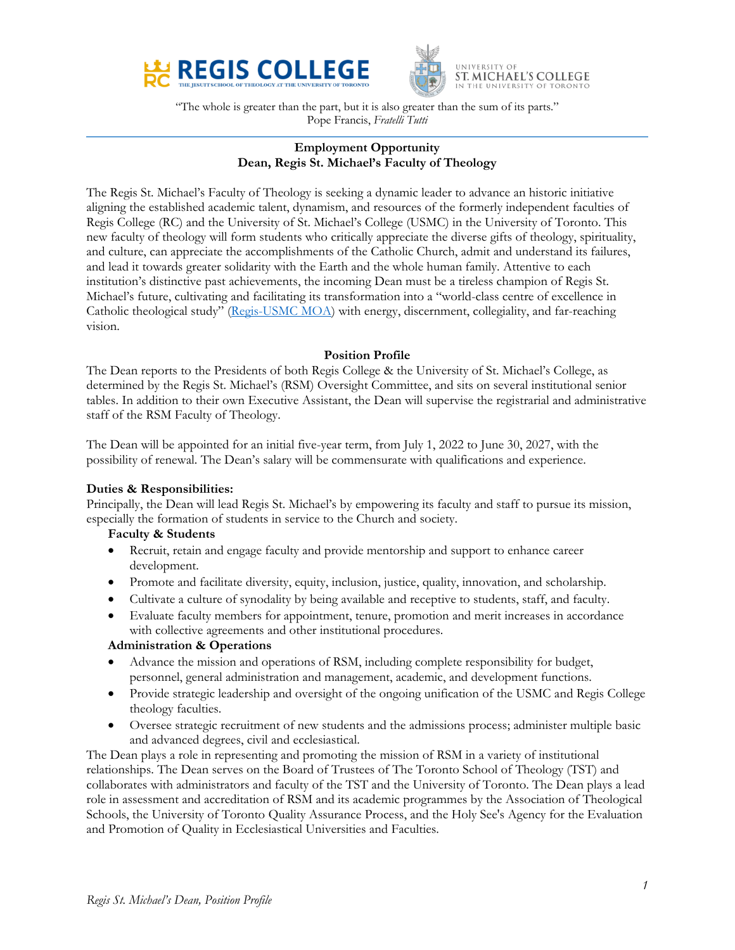



"The whole is greater than the part, but it is also greater than the sum of its parts." Pope Francis, *Fratelli Tutti*

# **Employment Opportunity Dean, Regis St. Michael's Faculty of Theology**

The Regis St. Michael's Faculty of Theology is seeking a dynamic leader to advance an historic initiative aligning the established academic talent, dynamism, and resources of the formerly independent faculties of Regis College (RC) and the University of St. Michael's College (USMC) in the University of Toronto. This new faculty of theology will form students who critically appreciate the diverse gifts of theology, spirituality, and culture, can appreciate the accomplishments of the Catholic Church, admit and understand its failures, and lead it towards greater solidarity with the Earth and the whole human family. Attentive to each institution's distinctive past achievements, the incoming Dean must be a tireless champion of Regis St. Michael's future, cultivating and facilitating its transformation into a "world-class centre of excellence in Catholic theological study" [\(Regis-USMC](https://stmikes.utoronto.ca/wp-content/uploads/2021/11/Regis-St.-Michaels-Final-MOA-October-20-2021-Executed.pdf) MOA) with energy, discernment, collegiality, and far-reaching vision.

## **Position Profile**

The Dean reports to the Presidents of both Regis College & the University of St. Michael's College, as determined by the Regis St. Michael's (RSM) Oversight Committee, and sits on several institutional senior tables. In addition to their own Executive Assistant, the Dean will supervise the registrarial and administrative staff of the RSM Faculty of Theology.

The Dean will be appointed for an initial five-year term, from July 1, 2022 to June 30, 2027, with the possibility of renewal. The Dean's salary will be commensurate with qualifications and experience.

## **Duties & Responsibilities:**

Principally, the Dean will lead Regis St. Michael's by empowering its faculty and staff to pursue its mission, especially the formation of students in service to the Church and society.

## **Faculty & Students**

- Recruit, retain and engage faculty and provide mentorship and support to enhance career development.
- Promote and facilitate diversity, equity, inclusion, justice, quality, innovation, and scholarship.
- Cultivate a culture of synodality by being available and receptive to students, staff, and faculty.
- Evaluate faculty members for appointment, tenure, promotion and merit increases in accordance with collective agreements and other institutional procedures.

## **Administration & Operations**

- Advance the mission and operations of RSM, including complete responsibility for budget, personnel, general administration and management, academic, and development functions.
- Provide strategic leadership and oversight of the ongoing unification of the USMC and Regis College theology faculties.
- Oversee strategic recruitment of new students and the admissions process; administer multiple basic and advanced degrees, civil and ecclesiastical.

The Dean plays a role in representing and promoting the mission of RSM in a variety of institutional relationships. The Dean serves on the Board of Trustees of The Toronto School of Theology (TST) and collaborates with administrators and faculty of the TST and the University of Toronto. The Dean plays a lead role in assessment and accreditation of RSM and its academic programmes by the Association of Theological Schools, the University of Toronto Quality Assurance Process, and the Holy See's Agency for the Evaluation and Promotion of Quality in Ecclesiastical Universities and Faculties.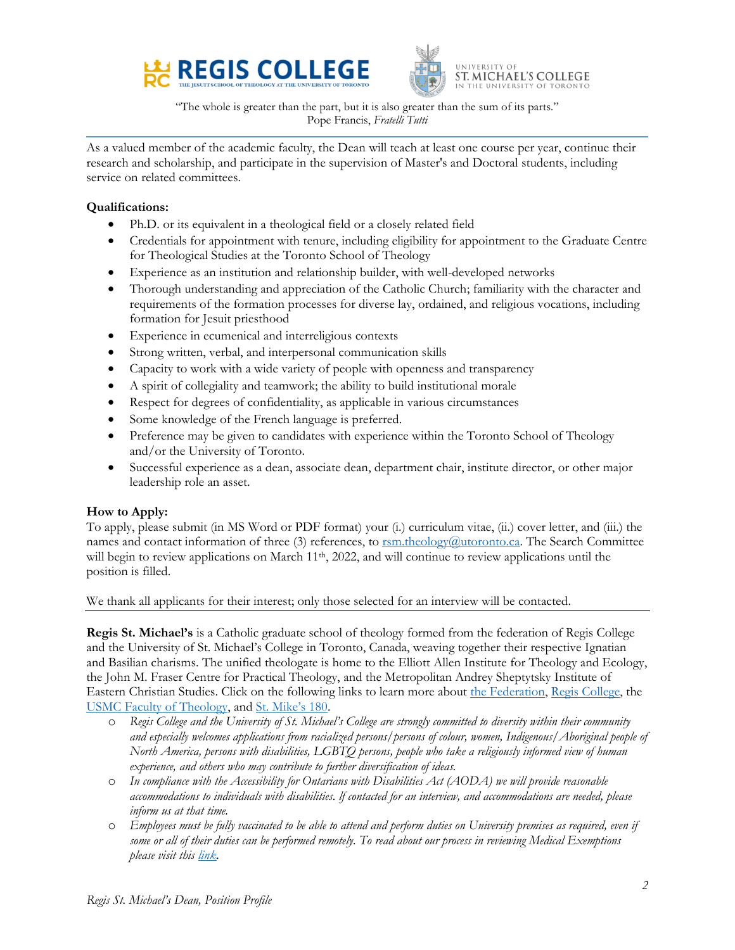



"The whole is greater than the part, but it is also greater than the sum of its parts." Pope Francis, *Fratelli Tutti*

As a valued member of the academic faculty, the Dean will teach at least one course per year, continue their research and scholarship, and participate in the supervision of Master's and Doctoral students, including service on related committees.

## **Qualifications:**

- Ph.D. or its equivalent in a theological field or a closely related field
- Credentials for appointment with tenure, including eligibility for appointment to the Graduate Centre for Theological Studies at the Toronto School of Theology
- Experience as an institution and relationship builder, with well-developed networks
- Thorough understanding and appreciation of the Catholic Church; familiarity with the character and requirements of the formation processes for diverse lay, ordained, and religious vocations, including formation for Jesuit priesthood
- Experience in ecumenical and interreligious contexts
- Strong written, verbal, and interpersonal communication skills
- Capacity to work with a wide variety of people with openness and transparency
- A spirit of collegiality and teamwork; the ability to build institutional morale
- Respect for degrees of confidentiality, as applicable in various circumstances
- Some knowledge of the French language is preferred.
- Preference may be given to candidates with experience within the Toronto School of Theology and/or the University of Toronto.
- Successful experience as a dean, associate dean, department chair, institute director, or other major leadership role an asset.

## **How to Apply:**

To apply, please submit (in MS Word or PDF format) your (i.) curriculum vitae, (ii.) cover letter, and (iii.) the names and contact information of three (3) references, to  $r_s$  [rsm.theology@utoronto.ca.](mailto:rsm.theology@utoronto.ca) The Search Committee will begin to review applications on March  $11<sup>th</sup>$ , 2022, and will continue to review applications until the position is filled.

We thank all applicants for their interest; only those selected for an interview will be contacted.

**Regis St. Michael's** is a Catholic graduate school of theology formed from the federation of Regis College and the University of St. Michael's College in Toronto, Canada, weaving together their respective Ignatian and Basilian charisms. The unified theologate is home to the Elliott Allen Institute for Theology and Ecology, the John M. Fraser Centre for Practical Theology, and the Metropolitan Andrey Sheptytsky Institute of Eastern Christian Studies. Click on the following links to learn more about [the Federation,](https://stmikes.utoronto.ca/regis) [Regis College,](https://regiscollege.ca/about/mission/) the [USMC Faculty of Theology,](https://stmikes.utoronto.ca/academics/faculty-of-theology/about-the-faculty-of-theology) and [St. Mike's 180](https://stmikes.utoronto.ca/stmikes180).

- o *Regis College and the University of St. Michael's College are strongly committed to diversity within their community and especially welcomes applications from racialized persons/persons of colour, women, Indigenous/Aboriginal people of North America, persons with disabilities, LGBTQ persons, people who take a religiously informed view of human experience, and others who may contribute to further diversification of ideas.*
- o *In compliance with the Accessibility for Ontarians with Disabilities Act (AODA) we will provide reasonable accommodations to individuals with disabilities. lf contacted for an interview, and accommodations are needed, please inform us at that time.*
- o *Employees must be fully vaccinated to be able to attend and perform duties on University premises as required, even if some or all of their duties can be performed remotely. To read about our process in reviewing Medical Exemptions please visit this [link.](https://stmikes.utoronto.ca/wp-content/uploads/2021/10/Guidelines-Requests-for-Medical-Exemption-Homewood-Health-Oct-2021.pdf)*